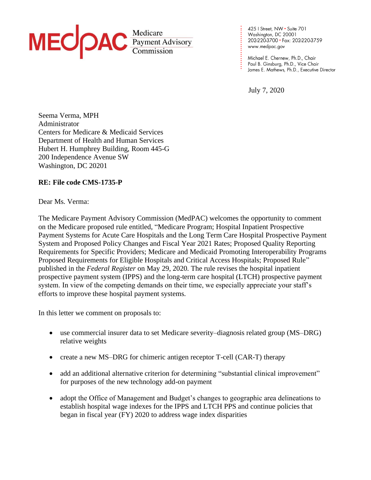

425 | Street, NW • Suite 701<br>Washington, DC 20001 202-220-3700 · Fax: 202-220-3759 www.medpac.gov

Paul B. Ginsburg, Ph.D., Vice Chair James E. Mathews, Ph.D., Executive Director

July 7, 2020

**. . . . . . . . . . . . . . . . . . . . . . . .**

Seema Verma, MPH Administrator Centers for Medicare & Medicaid Services Department of Health and Human Services Hubert H. Humphrey Building, Room 445-G 200 Independence Avenue SW Washington, DC 20201

#### **RE: File code CMS-1735-P**

Dear Ms. Verma:

The Medicare Payment Advisory Commission (MedPAC) welcomes the opportunity to comment on the Medicare proposed rule entitled, "Medicare Program; Hospital Inpatient Prospective Payment Systems for Acute Care Hospitals and the Long Term Care Hospital Prospective Payment System and Proposed Policy Changes and Fiscal Year 2021 Rates; Proposed Quality Reporting Requirements for Specific Providers; Medicare and Medicaid Promoting Interoperability Programs Proposed Requirements for Eligible Hospitals and Critical Access Hospitals; Proposed Rule" published in the *Federal Register* on May 29, 2020. The rule revises the hospital inpatient prospective payment system (IPPS) and the long-term care hospital (LTCH) prospective payment system. In view of the competing demands on their time, we especially appreciate your staff's efforts to improve these hospital payment systems.

In this letter we comment on proposals to:

- use commercial insurer data to set Medicare severity–diagnosis related group (MS–DRG) relative weights
- create a new MS–DRG for chimeric antigen receptor T-cell (CAR-T) therapy
- add an additional alternative criterion for determining "substantial clinical improvement" for purposes of the new technology add-on payment
- adopt the Office of Management and Budget's changes to geographic area delineations to establish hospital wage indexes for the IPPS and LTCH PPS and continue policies that began in fiscal year (FY) 2020 to address wage index disparities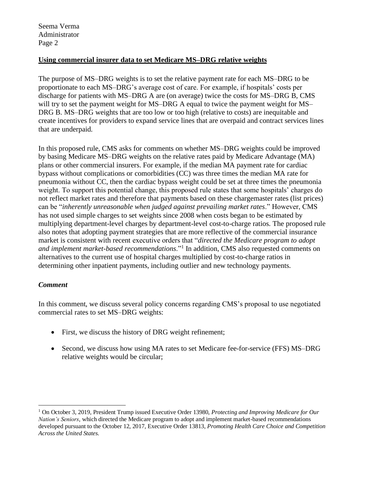#### **Using commercial insurer data to set Medicare MS–DRG relative weights**

The purpose of MS–DRG weights is to set the relative payment rate for each MS–DRG to be proportionate to each MS–DRG's average cost of care. For example, if hospitals' costs per discharge for patients with MS–DRG A are (on average) twice the costs for MS–DRG B, CMS will try to set the payment weight for MS–DRG A equal to twice the payment weight for MS– DRG B. MS–DRG weights that are too low or too high (relative to costs) are inequitable and create incentives for providers to expand service lines that are overpaid and contract services lines that are underpaid.

In this proposed rule, CMS asks for comments on whether MS–DRG weights could be improved by basing Medicare MS–DRG weights on the relative rates paid by Medicare Advantage (MA) plans or other commercial insurers. For example, if the median MA payment rate for cardiac bypass without complications or comorbidities (CC) was three times the median MA rate for pneumonia without CC, then the cardiac bypass weight could be set at three times the pneumonia weight. To support this potential change, this proposed rule states that some hospitals' charges do not reflect market rates and therefore that payments based on these chargemaster rates (list prices) can be "*inherently unreasonable when judged against prevailing market rates*." However, CMS has not used simple charges to set weights since 2008 when costs began to be estimated by multiplying department-level charges by department-level cost-to-charge ratios. The proposed rule also notes that adopting payment strategies that are more reflective of the commercial insurance market is consistent with recent executive orders that "*directed the Medicare program to adopt and implement market-based recommendations*."<sup>1</sup> In addition, CMS also requested comments on alternatives to the current use of hospital charges multiplied by cost-to-charge ratios in determining other inpatient payments, including outlier and new technology payments.

#### *Comment*

In this comment, we discuss several policy concerns regarding CMS's proposal to use negotiated commercial rates to set MS–DRG weights:

- First, we discuss the history of DRG weight refinement;
- Second, we discuss how using MA rates to set Medicare fee-for-service (FFS) MS-DRG relative weights would be circular;

<sup>1</sup> On October 3, 2019, President Trump issued Executive Order 13980, *Protecting and Improving Medicare for Our Nation's Seniors*, which directed the Medicare program to adopt and implement market-based recommendations developed pursuant to the October 12, 2017, Executive Order 13813, *Promoting Health Care Choice and Competition Across the United States.*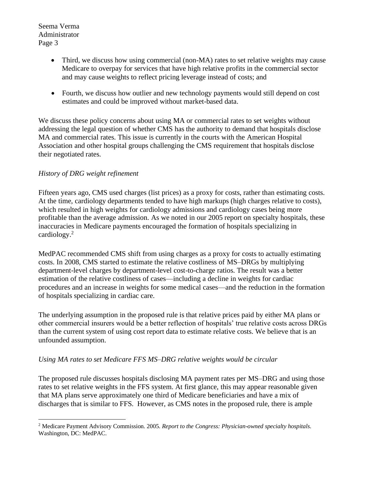- Third, we discuss how using commercial (non-MA) rates to set relative weights may cause Medicare to overpay for services that have high relative profits in the commercial sector and may cause weights to reflect pricing leverage instead of costs; and
- Fourth, we discuss how outlier and new technology payments would still depend on cost estimates and could be improved without market-based data.

We discuss these policy concerns about using MA or commercial rates to set weights without addressing the legal question of whether CMS has the authority to demand that hospitals disclose MA and commercial rates. This issue is currently in the courts with the American Hospital Association and other hospital groups challenging the CMS requirement that hospitals disclose their negotiated rates.

# *History of DRG weight refinement*

Fifteen years ago, CMS used charges (list prices) as a proxy for costs, rather than estimating costs. At the time, cardiology departments tended to have high markups (high charges relative to costs), which resulted in high weights for cardiology admissions and cardiology cases being more profitable than the average admission. As we noted in our 2005 report on specialty hospitals, these inaccuracies in Medicare payments encouraged the formation of hospitals specializing in cardiology.<sup>2</sup>

MedPAC recommended CMS shift from using charges as a proxy for costs to actually estimating costs. In 2008, CMS started to estimate the relative costliness of MS–DRGs by multiplying department-level charges by department-level cost-to-charge ratios. The result was a better estimation of the relative costliness of cases—including a decline in weights for cardiac procedures and an increase in weights for some medical cases—and the reduction in the formation of hospitals specializing in cardiac care.

The underlying assumption in the proposed rule is that relative prices paid by either MA plans or other commercial insurers would be a better reflection of hospitals' true relative costs across DRGs than the current system of using cost report data to estimate relative costs. We believe that is an unfounded assumption.

## *Using MA rates to set Medicare FFS MS–DRG relative weights would be circular*

The proposed rule discusses hospitals disclosing MA payment rates per MS–DRG and using those rates to set relative weights in the FFS system. At first glance, this may appear reasonable given that MA plans serve approximately one third of Medicare beneficiaries and have a mix of discharges that is similar to FFS. However, as CMS notes in the proposed rule, there is ample

<sup>2</sup> Medicare Payment Advisory Commission. 2005. *Report to the Congress: Physician-owned specialty hospitals*. Washington, DC: MedPAC.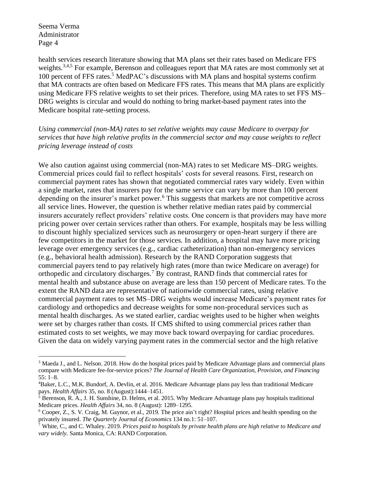health services research literature showing that MA plans set their rates based on Medicare FFS weights.<sup>3,4,5</sup> For example, Berenson and colleagues report that MA rates are most commonly set at 100 percent of FFS rates.<sup>5</sup> MedPAC's discussions with MA plans and hospital systems confirm that MA contracts are often based on Medicare FFS rates. This means that MA plans are explicitly using Medicare FFS relative weights to set their prices. Therefore, using MA rates to set FFS MS– DRG weights is circular and would do nothing to bring market-based payment rates into the Medicare hospital rate-setting process.

*Using commercial (non-MA) rates to set relative weights may cause Medicare to overpay for services that have high relative profits in the commercial sector and may cause weights to reflect pricing leverage instead of costs* 

We also caution against using commercial (non-MA) rates to set Medicare MS–DRG weights. Commercial prices could fail to reflect hospitals' costs for several reasons. First, research on commercial payment rates has shown that negotiated commercial rates vary widely. Even within a single market, rates that insurers pay for the same service can vary by more than 100 percent depending on the insurer's market power.<sup>6</sup> This suggests that markets are not competitive across all service lines. However, the question is whether relative median rates paid by commercial insurers accurately reflect providers' relative costs. One concern is that providers may have more pricing power over certain services rather than others. For example, hospitals may be less willing to discount highly specialized services such as neurosurgery or open-heart surgery if there are few competitors in the market for those services. In addition, a hospital may have more pricing leverage over emergency services (e.g., cardiac catheterization) than non-emergency services (e.g., behavioral health admission). Research by the RAND Corporation suggests that commercial payers tend to pay relatively high rates (more than twice Medicare on average) for orthopedic and circulatory discharges.<sup>7</sup> By contrast, RAND finds that commercial rates for mental health and substance abuse on average are less than 150 percent of Medicare rates. To the extent the RAND data are representative of nationwide commercial rates, using relative commercial payment rates to set MS–DRG weights would increase Medicare's payment rates for cardiology and orthopedics and decrease weights for some non-procedural services such as mental health discharges. As we stated earlier, cardiac weights used to be higher when weights were set by charges rather than costs. If CMS shifted to using commercial prices rather than estimated costs to set weights, we may move back toward overpaying for cardiac procedures. Given the data on widely varying payment rates in the commercial sector and the high relative

<sup>&</sup>lt;sup>3</sup> Maeda J., and L. Nelson. 2018. How do the hospital prices paid by Medicare Advantage plans and commercial plans compare with Medicare fee-for-service prices? *The Journal of Health Care Organization, Provision, and Financing* 55: 1–8.

<sup>4</sup>Baker, L.C., M.K. Bundorf, A. Devlin, et al. 2016. Medicare Advantage plans pay less than traditional Medicare pays. *Health Affairs* 35, no. 8 (August):1444–1451.

 $<sup>5</sup>$  Berenson, R. A., J. H. Sunshine, D. Helms, et al. 2015. Why Medicare Advantage plans pay hospitals traditional</sup> Medicare prices. *Health Affairs* 34, no. 8 (August): 1289–1295.

<sup>6</sup> Cooper, Z., S. V. Craig, M. Gaynor, et al., 2019. The price ain't right? Hospital prices and health spending on the privately insured. *The Quarterly Journal of Economics* 134 no.1: 51–107.

<sup>7</sup> White, C., and C. Whaley. 2019. *Prices paid to hospitals by private health plans are high relative to Medicare and vary widely.* Santa Monica, CA: RAND Corporation.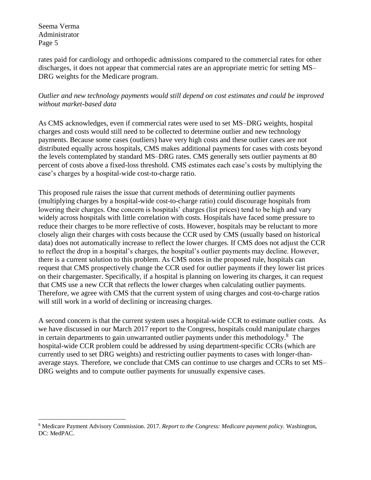rates paid for cardiology and orthopedic admissions compared to the commercial rates for other discharges, it does not appear that commercial rates are an appropriate metric for setting MS– DRG weights for the Medicare program.

*Outlier and new technology payments would still depend on cost estimates and could be improved without market-based data*

As CMS acknowledges, even if commercial rates were used to set MS–DRG weights, hospital charges and costs would still need to be collected to determine outlier and new technology payments. Because some cases (outliers) have very high costs and these outlier cases are not distributed equally across hospitals, CMS makes additional payments for cases with costs beyond the levels contemplated by standard MS–DRG rates. CMS generally sets outlier payments at 80 percent of costs above a fixed-loss threshold. CMS estimates each case's costs by multiplying the case's charges by a hospital-wide cost-to-charge ratio.

This proposed rule raises the issue that current methods of determining outlier payments (multiplying charges by a hospital-wide cost-to-charge ratio) could discourage hospitals from lowering their charges. One concern is hospitals' charges (list prices) tend to be high and vary widely across hospitals with little correlation with costs. Hospitals have faced some pressure to reduce their charges to be more reflective of costs. However, hospitals may be reluctant to more closely align their charges with costs because the CCR used by CMS (usually based on historical data) does not automatically increase to reflect the lower charges. If CMS does not adjust the CCR to reflect the drop in a hospital's charges, the hospital's outlier payments may decline. However, there is a current solution to this problem. As CMS notes in the proposed rule, hospitals can request that CMS prospectively change the CCR used for outlier payments if they lower list prices on their chargemaster. Specifically, if a hospital is planning on lowering its charges, it can request that CMS use a new CCR that reflects the lower charges when calculating outlier payments. Therefore, we agree with CMS that the current system of using charges and cost-to-charge ratios will still work in a world of declining or increasing charges.

A second concern is that the current system uses a hospital-wide CCR to estimate outlier costs. As we have discussed in our March 2017 report to the Congress, hospitals could manipulate charges in certain departments to gain unwarranted outlier payments under this methodology.<sup>8</sup> The hospital-wide CCR problem could be addressed by using department-specific CCRs (which are currently used to set DRG weights) and restricting outlier payments to cases with longer-thanaverage stays. Therefore, we conclude that CMS can continue to use charges and CCRs to set MS– DRG weights and to compute outlier payments for unusually expensive cases.

<sup>8</sup> Medicare Payment Advisory Commission. 2017. *Report to the Congress: Medicare payment policy*. Washington, DC: MedPAC.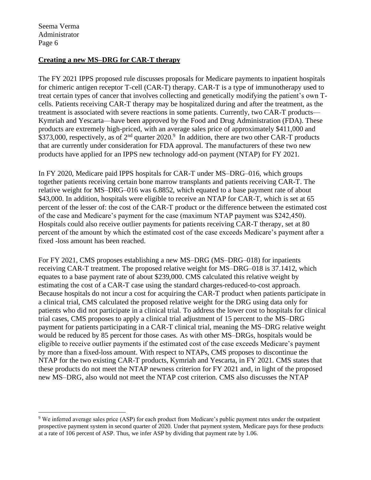#### **Creating a new MS–DRG for CAR-T therapy**

The FY 2021 IPPS proposed rule discusses proposals for Medicare payments to inpatient hospitals for chimeric antigen receptor T-cell (CAR-T) therapy. CAR-T is a type of immunotherapy used to treat certain types of cancer that involves collecting and genetically modifying the patient's own Tcells. Patients receiving CAR-T therapy may be hospitalized during and after the treatment, as the treatment is associated with severe reactions in some patients. Currently, two CAR-T products— Kymriah and Yescarta—have been approved by the Food and Drug Administration (FDA). These products are extremely high-priced, with an average sales price of approximately \$411,000 and \$373,000, respectively, as of  $2<sup>nd</sup>$  quarter 2020.<sup>9</sup> In addition, there are two other CAR-T products that are currently under consideration for FDA approval. The manufacturers of these two new products have applied for an IPPS new technology add-on payment (NTAP) for FY 2021.

In FY 2020, Medicare paid IPPS hospitals for CAR-T under MS–DRG–016, which groups together patients receiving certain bone marrow transplants and patients receiving CAR-T. The relative weight for MS–DRG–016 was 6.8852, which equated to a base payment rate of about \$43,000. In addition, hospitals were eligible to receive an NTAP for CAR-T, which is set at 65 percent of the lesser of: the cost of the CAR-T product or the difference between the estimated cost of the case and Medicare's payment for the case (maximum NTAP payment was \$242,450). Hospitals could also receive outlier payments for patients receiving CAR-T therapy, set at 80 percent of the amount by which the estimated cost of the case exceeds Medicare's payment after a fixed -loss amount has been reached.

For FY 2021, CMS proposes establishing a new MS–DRG (MS–DRG–018) for inpatients receiving CAR-T treatment. The proposed relative weight for MS–DRG–018 is 37.1412, which equates to a base payment rate of about \$239,000. CMS calculated this relative weight by estimating the cost of a CAR-T case using the standard charges-reduced-to-cost approach. Because hospitals do not incur a cost for acquiring the CAR-T product when patients participate in a clinical trial, CMS calculated the proposed relative weight for the DRG using data only for patients who did not participate in a clinical trial. To address the lower cost to hospitals for clinical trial cases, CMS proposes to apply a clinical trial adjustment of 15 percent to the MS–DRG payment for patients participating in a CAR-T clinical trial, meaning the MS–DRG relative weight would be reduced by 85 percent for those cases. As with other MS–DRGs, hospitals would be eligible to receive outlier payments if the estimated cost of the case exceeds Medicare's payment by more than a fixed-loss amount. With respect to NTAPs, CMS proposes to discontinue the NTAP for the two existing CAR-T products, Kymriah and Yescarta, in FY 2021. CMS states that these products do not meet the NTAP newness criterion for FY 2021 and, in light of the proposed new MS–DRG, also would not meet the NTAP cost criterion. CMS also discusses the NTAP

<sup>9</sup> We inferred average sales price (ASP) for each product from Medicare's public payment rates under the outpatient prospective payment system in second quarter of 2020. Under that payment system, Medicare pays for these products at a rate of 106 percent of ASP. Thus, we infer ASP by dividing that payment rate by 1.06.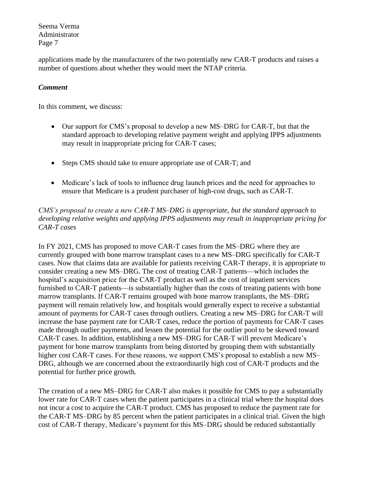applications made by the manufacturers of the two potentially new CAR-T products and raises a number of questions about whether they would meet the NTAP criteria.

## *Comment*

In this comment, we discuss:

- Our support for CMS's proposal to develop a new MS–DRG for CAR-T, but that the standard approach to developing relative payment weight and applying IPPS adjustments may result in inappropriate pricing for CAR-T cases;
- Steps CMS should take to ensure appropriate use of CAR-T; and
- Medicare's lack of tools to influence drug launch prices and the need for approaches to ensure that Medicare is a prudent purchaser of high-cost drugs, such as CAR-T.

# *CMS's proposal to create a new CAR-T MS–DRG is appropriate, but the standard approach to developing relative weights and applying IPPS adjustments may result in inappropriate pricing for CAR-T cases*

In FY 2021, CMS has proposed to move CAR-T cases from the MS–DRG where they are currently grouped with bone marrow transplant cases to a new MS–DRG specifically for CAR-T cases. Now that claims data are available for patients receiving CAR-T therapy, it is appropriate to consider creating a new MS–DRG. The cost of treating CAR-T patients—which includes the hospital's acquisition price for the CAR-T product as well as the cost of inpatient services furnished to CAR-T patients—is substantially higher than the costs of treating patients with bone marrow transplants. If CAR-T remains grouped with bone marrow transplants, the MS–DRG payment will remain relatively low, and hospitals would generally expect to receive a substantial amount of payments for CAR-T cases through outliers. Creating a new MS–DRG for CAR-T will increase the base payment rate for CAR-T cases, reduce the portion of payments for CAR-T cases made through outlier payments, and lessen the potential for the outlier pool to be skewed toward CAR-T cases. In addition, establishing a new MS–DRG for CAR-T will prevent Medicare's payment for bone marrow transplants from being distorted by grouping them with substantially higher cost CAR-T cases. For these reasons, we support CMS's proposal to establish a new MS-DRG, although we are concerned about the extraordinarily high cost of CAR-T products and the potential for further price growth.

The creation of a new MS–DRG for CAR-T also makes it possible for CMS to pay a substantially lower rate for CAR-T cases when the patient participates in a clinical trial where the hospital does not incur a cost to acquire the CAR-T product. CMS has proposed to reduce the payment rate for the CAR-T MS–DRG by 85 percent when the patient participates in a clinical trial. Given the high cost of CAR-T therapy, Medicare's payment for this MS–DRG should be reduced substantially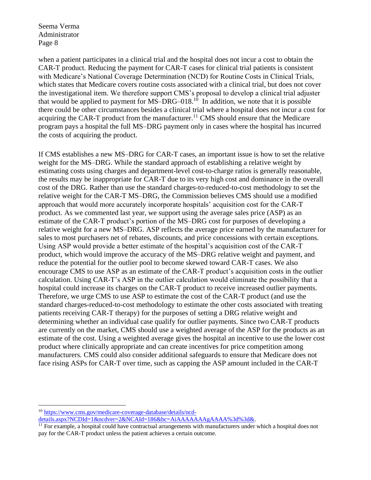when a patient participates in a clinical trial and the hospital does not incur a cost to obtain the CAR-T product. Reducing the payment for CAR-T cases for clinical trial patients is consistent with Medicare's National Coverage Determination (NCD) for Routine Costs in Clinical Trials, which states that Medicare covers routine costs associated with a clinical trial, but does not cover the investigational item. We therefore support CMS's proposal to develop a clinical trial adjuster that would be applied to payment for  $MS-DRG-018$ <sup>10</sup> In addition, we note that it is possible there could be other circumstances besides a clinical trial where a hospital does not incur a cost for acquiring the CAR-T product from the manufacturer.<sup>11</sup> CMS should ensure that the Medicare program pays a hospital the full MS–DRG payment only in cases where the hospital has incurred the costs of acquiring the product.

If CMS establishes a new MS–DRG for CAR-T cases, an important issue is how to set the relative weight for the MS–DRG. While the standard approach of establishing a relative weight by estimating costs using charges and department-level cost-to-charge ratios is generally reasonable, the results may be inappropriate for CAR-T due to its very high cost and dominance in the overall cost of the DRG. Rather than use the standard charges-to-reduced-to-cost methodology to set the relative weight for the CAR-T MS–DRG, the Commission believes CMS should use a modified approach that would more accurately incorporate hospitals' acquisition cost for the CAR-T product. As we commented last year, we support using the average sales price (ASP) as an estimate of the CAR-T product's portion of the MS–DRG cost for purposes of developing a relative weight for a new MS–DRG. ASP reflects the average price earned by the manufacturer for sales to most purchasers net of rebates, discounts, and price concessions with certain exceptions. Using ASP would provide a better estimate of the hospital's acquisition cost of the CAR-T product, which would improve the accuracy of the MS–DRG relative weight and payment, and reduce the potential for the outlier pool to become skewed toward CAR-T cases. We also encourage CMS to use ASP as an estimate of the CAR-T product's acquisition costs in the outlier calculation. Using CAR-T's ASP in the outlier calculation would eliminate the possibility that a hospital could increase its charges on the CAR-T product to receive increased outlier payments. Therefore, we urge CMS to use ASP to estimate the cost of the CAR-T product (and use the standard charges-reduced-to-cost methodology to estimate the other costs associated with treating patients receiving CAR-T therapy) for the purposes of setting a DRG relative weight and determining whether an individual case qualify for outlier payments. Since two CAR-T products are currently on the market, CMS should use a weighted average of the ASP for the products as an estimate of the cost. Using a weighted average gives the hospital an incentive to use the lower cost product where clinically appropriate and can create incentives for price competition among manufacturers. CMS could also consider additional safeguards to ensure that Medicare does not face rising ASPs for CAR-T over time, such as capping the ASP amount included in the CAR-T

<sup>10</sup> [https://www.cms.gov/medicare-coverage-database/details/ncd-](https://www.cms.gov/medicare-coverage-database/details/ncd-details.aspx?NCDId=1&ncdver=2&NCAId=186&bc=AiAAAAAAAgAAAA%3d%3d&)

[details.aspx?NCDId=1&ncdver=2&NCAId=186&bc=AiAAAAAAAgAAAA%3d%3d&.](https://www.cms.gov/medicare-coverage-database/details/ncd-details.aspx?NCDId=1&ncdver=2&NCAId=186&bc=AiAAAAAAAgAAAA%3d%3d&)

<sup>&</sup>lt;sup>11</sup> For example, a hospital could have contractual arrangements with manufacturers under which a hospital does not pay for the CAR-T product unless the patient achieves a certain outcome.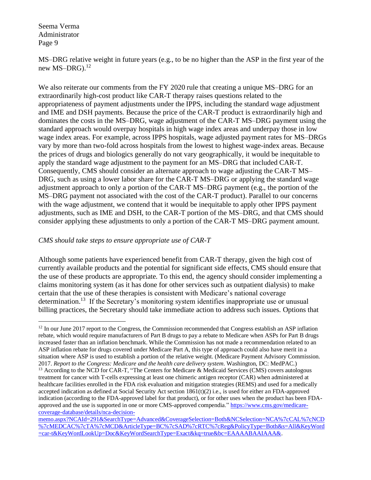MS–DRG relative weight in future years (e.g., to be no higher than the ASP in the first year of the new MS–DRG). $^{12}$ 

We also reiterate our comments from the FY 2020 rule that creating a unique MS–DRG for an extraordinarily high-cost product like CAR-T therapy raises questions related to the appropriateness of payment adjustments under the IPPS, including the standard wage adjustment and IME and DSH payments. Because the price of the CAR-T product is extraordinarily high and dominates the costs in the MS–DRG, wage adjustment of the CAR-T MS–DRG payment using the standard approach would overpay hospitals in high wage index areas and underpay those in low wage index areas. For example, across IPPS hospitals, wage adjusted payment rates for MS–DRGs vary by more than two-fold across hospitals from the lowest to highest wage-index areas. Because the prices of drugs and biologics generally do not vary geographically, it would be inequitable to apply the standard wage adjustment to the payment for an MS–DRG that included CAR-T. Consequently, CMS should consider an alternate approach to wage adjusting the CAR-T MS– DRG, such as using a lower labor share for the CAR-T MS–DRG or applying the standard wage adjustment approach to only a portion of the CAR-T MS–DRG payment (e.g., the portion of the MS–DRG payment not associated with the cost of the CAR-T product). Parallel to our concerns with the wage adjustment, we contend that it would be inequitable to apply other IPPS payment adjustments, such as IME and DSH, to the CAR-T portion of the MS–DRG, and that CMS should consider applying these adjustments to only a portion of the CAR-T MS–DRG payment amount.

#### *CMS should take steps to ensure appropriate use of CAR-T*

Although some patients have experienced benefit from CAR-T therapy, given the high cost of currently available products and the potential for significant side effects, CMS should ensure that the use of these products are appropriate. To this end, the agency should consider implementing a claims monitoring system (as it has done for other services such as outpatient dialysis) to make certain that the use of these therapies is consistent with Medicare's national coverage determination.<sup>13</sup> If the Secretary's monitoring system identifies inappropriate use or unusual billing practices, the Secretary should take immediate action to address such issues. Options that

 $12$  In our June 2017 report to the Congress, the Commission recommended that Congress establish an ASP inflation rebate, which would require manufacturers of Part B drugs to pay a rebate to Medicare when ASPs for Part B drugs increased faster than an inflation benchmark. While the Commission has not made a recommendation related to an ASP inflation rebate for drugs covered under Medicare Part A, this type of approach could also have merit in a situation where ASP is used to establish a portion of the relative weight. (Medicare Payment Advisory Commission. 2017. *Report to the Congress: Medicare and the health care delivery system*. Washington, DC: MedPAC.)

<sup>&</sup>lt;sup>13</sup> According to the NCD for CAR-T, "The Centers for Medicare & Medicaid Services (CMS) covers autologous treatment for cancer with T-cells expressing at least one chimeric antigen receptor (CAR) when administered at healthcare facilities enrolled in the FDA risk evaluation and mitigation strategies (REMS) and used for a medically accepted indication as defined at Social Security Act section  $1861(t)(2)$  i.e., is used for either an FDA-approved indication (according to the FDA-approved label for that product), or for other uses when the product has been FDAapproved and the use is supported in one or more CMS-approved compendia." [https://www.cms.gov/medicare](https://www.cms.gov/medicare-coverage-database/details/nca-decision-memo.aspx?NCAId=291&SearchType=Advanced&CoverageSelection=Both&NCSelection=NCA%7cCAL%7cNCD%7cMEDCAC%7cTA%7cMCD&ArticleType=BC%7cSAD%7cRTC%7cReg&PolicyType=Both&s=All&KeyWord=car-t&KeyWordLookUp=Doc&KeyWordSearchType=Exact&kq=true&bc=EAAAABAAIAAA&)[coverage-database/details/nca-decision-](https://www.cms.gov/medicare-coverage-database/details/nca-decision-memo.aspx?NCAId=291&SearchType=Advanced&CoverageSelection=Both&NCSelection=NCA%7cCAL%7cNCD%7cMEDCAC%7cTA%7cMCD&ArticleType=BC%7cSAD%7cRTC%7cReg&PolicyType=Both&s=All&KeyWord=car-t&KeyWordLookUp=Doc&KeyWordSearchType=Exact&kq=true&bc=EAAAABAAIAAA&)

[memo.aspx?NCAId=291&SearchType=Advanced&CoverageSelection=Both&NCSelection=NCA%7cCAL%7cNCD](https://www.cms.gov/medicare-coverage-database/details/nca-decision-memo.aspx?NCAId=291&SearchType=Advanced&CoverageSelection=Both&NCSelection=NCA%7cCAL%7cNCD%7cMEDCAC%7cTA%7cMCD&ArticleType=BC%7cSAD%7cRTC%7cReg&PolicyType=Both&s=All&KeyWord=car-t&KeyWordLookUp=Doc&KeyWordSearchType=Exact&kq=true&bc=EAAAABAAIAAA&) [%7cMEDCAC%7cTA%7cMCD&ArticleType=BC%7cSAD%7cRTC%7cReg&PolicyType=Both&s=All&KeyWord](https://www.cms.gov/medicare-coverage-database/details/nca-decision-memo.aspx?NCAId=291&SearchType=Advanced&CoverageSelection=Both&NCSelection=NCA%7cCAL%7cNCD%7cMEDCAC%7cTA%7cMCD&ArticleType=BC%7cSAD%7cRTC%7cReg&PolicyType=Both&s=All&KeyWord=car-t&KeyWordLookUp=Doc&KeyWordSearchType=Exact&kq=true&bc=EAAAABAAIAAA&) [=car-t&KeyWordLookUp=Doc&KeyWordSearchType=Exact&kq=true&bc=EAAAABAAIAAA&.](https://www.cms.gov/medicare-coverage-database/details/nca-decision-memo.aspx?NCAId=291&SearchType=Advanced&CoverageSelection=Both&NCSelection=NCA%7cCAL%7cNCD%7cMEDCAC%7cTA%7cMCD&ArticleType=BC%7cSAD%7cRTC%7cReg&PolicyType=Both&s=All&KeyWord=car-t&KeyWordLookUp=Doc&KeyWordSearchType=Exact&kq=true&bc=EAAAABAAIAAA&)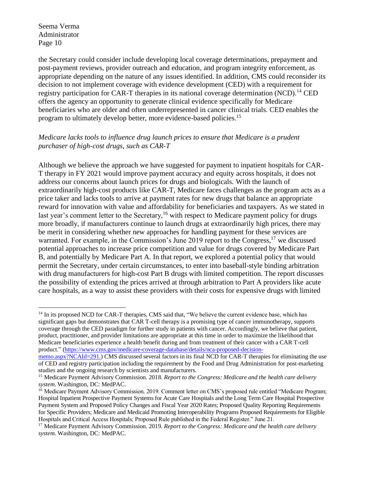the Secretary could consider include developing local coverage determinations, prepayment and post-payment reviews, provider outreach and education, and program integrity enforcement, as appropriate depending on the nature of any issues identified. In addition, CMS could reconsider its decision to not implement coverage with evidence development (CED) with a requirement for registry participation for CAR-T therapies in its national coverage determination (NCD).<sup>14</sup> CED offers the agency an opportunity to generate clinical evidence specifically for Medicare beneficiaries who are older and often underrepresented in cancer clinical trials. CED enables the program to ultimately develop better, more evidence-based policies.<sup>15</sup>

## *Medicare lacks tools to influence drug launch prices to ensure that Medicare is a prudent purchaser of high-cost drugs, such as CAR-T*

Although we believe the approach we have suggested for payment to inpatient hospitals for CAR-T therapy in FY 2021 would improve payment accuracy and equity across hospitals, it does not address our concerns about launch prices for drugs and biologicals. With the launch of extraordinarily high-cost products like CAR-T, Medicare faces challenges as the program acts as a price taker and lacks tools to arrive at payment rates for new drugs that balance an appropriate reward for innovation with value and affordability for beneficiaries and taxpayers. As we stated in last year's comment letter to the Secretary,  $16$  with respect to Medicare payment policy for drugs more broadly, if manufacturers continue to launch drugs at extraordinarily high prices, there may be merit in considering whether new approaches for handling payment for these services are warranted. For example, in the Commission's June 2019 report to the Congress,<sup>17</sup> we discussed potential approaches to increase price competition and value for drugs covered by Medicare Part B, and potentially by Medicare Part A. In that report, we explored a potential policy that would permit the Secretary, under certain circumstances, to enter into baseball-style binding arbitration with drug manufacturers for high-cost Part B drugs with limited competition. The report discusses the possibility of extending the prices arrived at through arbitration to Part A providers like acute care hospitals, as a way to assist these providers with their costs for expensive drugs with limited

<sup>&</sup>lt;sup>14</sup> In its proposed NCD for CAR-T therapies, CMS said that, "We believe the current evidence base, which has significant gaps but demonstrates that CAR T-cell therapy is a promising type of cancer immunotherapy, supports coverage through the CED paradigm for further study in patients with cancer. Accordingly, we believe that patient, product, practitioner, and provider limitations are appropriate at this time in order to maximize the likelihood that Medicare beneficiaries experience a health benefit during and from treatment of their cancer with a CAR T-cell product." [\(https://www.cms.gov/medicare-coverage-database/details/nca-proposed-decision-](https://www.cms.gov/medicare-coverage-database/details/nca-proposed-decision-memo.aspx?NCAId=291)

[memo.aspx?NCAId=291.](https://www.cms.gov/medicare-coverage-database/details/nca-proposed-decision-memo.aspx?NCAId=291)) CMS discussed several factors in its final NCD for CAR-T therapies for eliminating the use of CED and registry participation including the requirement by the Food and Drug Administration for post-marketing studies and the ongoing research by scientists and manufacturers.

<sup>15</sup> Medicare Payment Advisory Commission. 2018. *Report to the Congress: Medicare and the health care delivery system*. Washington, DC: MedPAC.

<sup>&</sup>lt;sup>16</sup> Medicare Payment Advisory Commission. 2019. Comment letter on CMS's proposed rule entitled "Medicare Program; Hospital Inpatient Prospective Payment Systems for Acute Care Hospitals and the Long Term Care Hospital Prospective Payment System and Proposed Policy Changes and Fiscal Year 2020 Rates; Proposed Quality Reporting Requirements for Specific Providers; Medicare and Medicaid Promoting Interoperability Programs Proposed Requirements for Eligible Hospitals and Critical Access Hospitals; Proposed Rule published in the Federal Register." June 21.

<sup>17</sup> Medicare Payment Advisory Commission. 2019. *Report to the Congress: Medicare and the health care delivery system*. Washington, DC: MedPAC.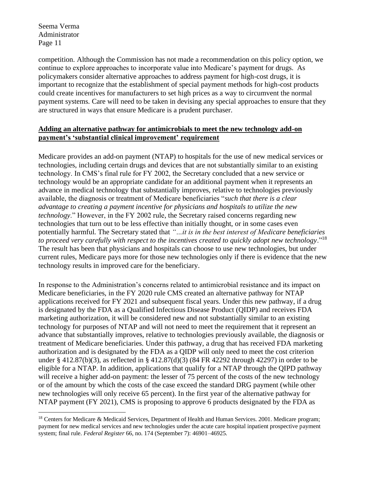competition. Although the Commission has not made a recommendation on this policy option, we continue to explore approaches to incorporate value into Medicare's payment for drugs. As policymakers consider alternative approaches to address payment for high-cost drugs, it is important to recognize that the establishment of special payment methods for high-cost products could create incentives for manufacturers to set high prices as a way to circumvent the normal payment systems. Care will need to be taken in devising any special approaches to ensure that they are structured in ways that ensure Medicare is a prudent purchaser.

## **Adding an alternative pathway for antimicrobials to meet the new technology add-on payment's 'substantial clinical improvement' requirement**

Medicare provides an add-on payment (NTAP) to hospitals for the use of new medical services or technologies, including certain drugs and devices that are not substantially similar to an existing technology. In CMS's final rule for FY 2002, the Secretary concluded that a new service or technology would be an appropriate candidate for an additional payment when it represents an advance in medical technology that substantially improves, relative to technologies previously available, the diagnosis or treatment of Medicare beneficiaries "*such that there is a clear advantage to creating a payment incentive for physicians and hospitals to utilize the new technology*." However, in the FY 2002 rule, the Secretary raised concerns regarding new technologies that turn out to be less effective than initially thought, or in some cases even potentially harmful. The Secretary stated that *"…it is in the best interest of Medicare beneficiaries to proceed very carefully with respect to the incentives created to quickly adopt new technology*."<sup>18</sup> The result has been that physicians and hospitals can choose to use new technologies, but under current rules, Medicare pays more for those new technologies only if there is evidence that the new technology results in improved care for the beneficiary.

In response to the Administration's concerns related to antimicrobial resistance and its impact on Medicare beneficiaries, in the FY 2020 rule CMS created an alternative pathway for NTAP applications received for FY 2021 and subsequent fiscal years. Under this new pathway, if a drug is designated by the FDA as a Qualified Infectious Disease Product (QIDP) and receives FDA marketing authorization, it will be considered new and not substantially similar to an existing technology for purposes of NTAP and will not need to meet the requirement that it represent an advance that substantially improves, relative to technologies previously available, the diagnosis or treatment of Medicare beneficiaries. Under this pathway, a drug that has received FDA marketing authorization and is designated by the FDA as a QIDP will only need to meet the cost criterion under § 412.87(b)(3), as reflected in § 412.87(d)(3) (84 FR 42292 through 42297) in order to be eligible for a NTAP. In addition, applications that qualify for a NTAP through the QIPD pathway will receive a higher add-on payment: the lesser of 75 percent of the costs of the new technology or of the amount by which the costs of the case exceed the standard DRG payment (while other new technologies will only receive 65 percent). In the first year of the alternative pathway for NTAP payment (FY 2021), CMS is proposing to approve 6 products designated by the FDA as

<sup>18</sup> Centers for Medicare & Medicaid Services, Department of Health and Human Services. 2001. Medicare program; payment for new medical services and new technologies under the acute care hospital inpatient prospective payment system; final rule. *Federal Register* 66, no. 174 (September 7): 46901–46925.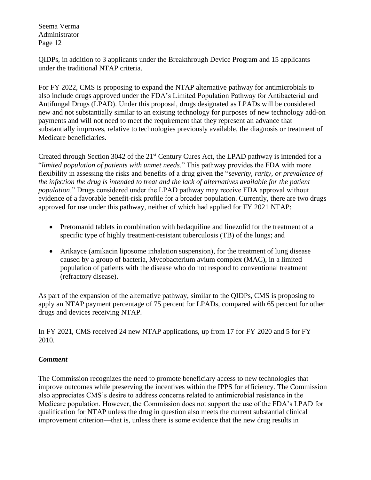QIDPs, in addition to 3 applicants under the Breakthrough Device Program and 15 applicants under the traditional NTAP criteria.

For FY 2022, CMS is proposing to expand the NTAP alternative pathway for antimicrobials to also include drugs approved under the FDA's Limited Population Pathway for Antibacterial and Antifungal Drugs (LPAD). Under this proposal, drugs designated as LPADs will be considered new and not substantially similar to an existing technology for purposes of new technology add-on payments and will not need to meet the requirement that they represent an advance that substantially improves, relative to technologies previously available, the diagnosis or treatment of Medicare beneficiaries.

Created through Section 3042 of the 21<sup>st</sup> Century Cures Act, the LPAD pathway is intended for a "*limited population of patients with unmet needs*." This pathway provides the FDA with more flexibility in assessing the risks and benefits of a drug given the "*severity, rarity, or prevalence of the infection the drug is intended to treat and the lack of alternatives available for the patient population*." Drugs considered under the LPAD pathway may receive FDA approval without evidence of a favorable benefit-risk profile for a broader population. Currently, there are two drugs approved for use under this pathway, neither of which had applied for FY 2021 NTAP:

- Pretomanid tablets in combination with bedaquiline and linezolid for the treatment of a specific type of highly treatment-resistant tuberculosis (TB) of the lungs; and
- Arikayce (amikacin liposome inhalation suspension), for the treatment of lung disease caused by a group of bacteria, Mycobacterium avium complex (MAC), in a limited population of patients with the disease who do not respond to conventional treatment (refractory disease).

As part of the expansion of the alternative pathway, similar to the QIDPs, CMS is proposing to apply an NTAP payment percentage of 75 percent for LPADs, compared with 65 percent for other drugs and devices receiving NTAP.

In FY 2021, CMS received 24 new NTAP applications, up from 17 for FY 2020 and 5 for FY 2010.

# *Comment*

The Commission recognizes the need to promote beneficiary access to new technologies that improve outcomes while preserving the incentives within the IPPS for efficiency. The Commission also appreciates CMS's desire to address concerns related to antimicrobial resistance in the Medicare population. However, the Commission does not support the use of the FDA's LPAD for qualification for NTAP unless the drug in question also meets the current substantial clinical improvement criterion—that is, unless there is some evidence that the new drug results in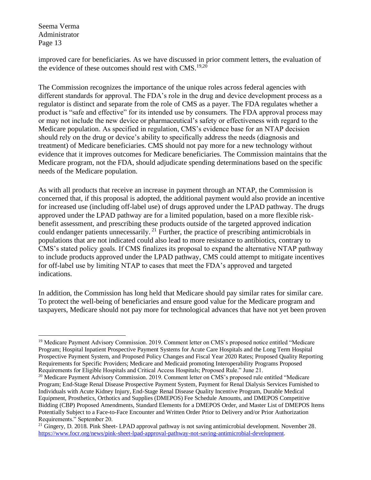improved care for beneficiaries. As we have discussed in prior comment letters, the evaluation of the evidence of these outcomes should rest with  $CMS.19,20$ 

The Commission recognizes the importance of the unique roles across federal agencies with different standards for approval. The FDA's role in the drug and device development process as a regulator is distinct and separate from the role of CMS as a payer. The FDA regulates whether a product is "safe and effective" for its intended use by consumers. The FDA approval process may or may not include the new device or pharmaceutical's safety or effectiveness with regard to the Medicare population. As specified in regulation, CMS's evidence base for an NTAP decision should rely on the drug or device's ability to specifically address the needs (diagnosis and treatment) of Medicare beneficiaries. CMS should not pay more for a new technology without evidence that it improves outcomes for Medicare beneficiaries. The Commission maintains that the Medicare program, not the FDA, should adjudicate spending determinations based on the specific needs of the Medicare population.

As with all products that receive an increase in payment through an NTAP, the Commission is concerned that, if this proposal is adopted, the additional payment would also provide an incentive for increased use (including off-label use) of drugs approved under the LPAD pathway. The drugs approved under the LPAD pathway are for a limited population, based on a more flexible riskbenefit assessment, and prescribing these products outside of the targeted approved indication could endanger patients unnecessarily. <sup>21</sup> Further, the practice of prescribing antimicrobials in populations that are not indicated could also lead to more resistance to antibiotics, contrary to CMS's stated policy goals. If CMS finalizes its proposal to expand the alternative NTAP pathway to include products approved under the LPAD pathway, CMS could attempt to mitigate incentives for off-label use by limiting NTAP to cases that meet the FDA's approved and targeted indications.

In addition, the Commission has long held that Medicare should pay similar rates for similar care. To protect the well-being of beneficiaries and ensure good value for the Medicare program and taxpayers, Medicare should not pay more for technological advances that have not yet been proven

<sup>&</sup>lt;sup>19</sup> Medicare Payment Advisory Commission. 2019. Comment letter on CMS's proposed notice entitled "Medicare Program; Hospital Inpatient Prospective Payment Systems for Acute Care Hospitals and the Long Term Hospital Prospective Payment System, and Proposed Policy Changes and Fiscal Year 2020 Rates; Proposed Quality Reporting Requirements for Specific Providers; Medicare and Medicaid promoting Interoperability Programs Proposed Requirements for Eligible Hospitals and Critical Access Hospitals; Proposed Rule." June 21.

<sup>&</sup>lt;sup>20</sup> Medicare Payment Advisory Commission. 2019. Comment letter on CMS's proposed rule entitled "Medicare" Program; End-Stage Renal Disease Prospective Payment System, Payment for Renal Dialysis Services Furnished to Individuals with Acute Kidney Injury, End-Stage Renal Disease Quality Incentive Program, Durable Medical Equipment, Prosthetics, Orthotics and Supplies (DMEPOS) Fee Schedule Amounts, and DMEPOS Competitive Bidding (CBP) Proposed Amendments, Standard Elements for a DMEPOS Order, and Master List of DMEPOS Items Potentially Subject to a Face-to-Face Encounter and Written Order Prior to Delivery and/or Prior Authorization Requirements." September 20.

 $21$  Gingery, D. 2018. Pink Sheet- LPAD approval pathway is not saving antimicrobial development. November 28. [https://www.focr.org/news/pink-sheet-lpad-approval-pathway-not-saving-antimicrobial-development.](https://www.focr.org/news/pink-sheet-lpad-approval-pathway-not-saving-antimicrobial-development)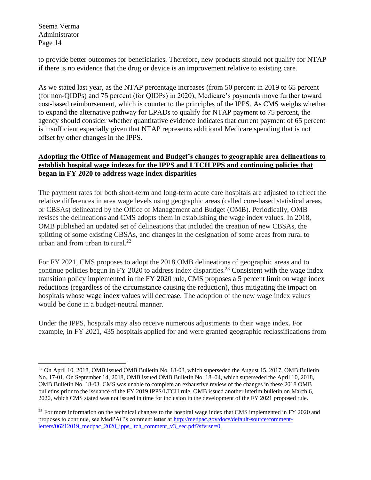to provide better outcomes for beneficiaries. Therefore, new products should not qualify for NTAP if there is no evidence that the drug or device is an improvement relative to existing care.

As we stated last year, as the NTAP percentage increases (from 50 percent in 2019 to 65 percent (for non-QIDPs) and 75 percent (for QIDPs) in 2020), Medicare's payments move further toward cost-based reimbursement, which is counter to the principles of the IPPS. As CMS weighs whether to expand the alternative pathway for LPADs to qualify for NTAP payment to 75 percent, the agency should consider whether quantitative evidence indicates that current payment of 65 percent is insufficient especially given that NTAP represents additional Medicare spending that is not offset by other changes in the IPPS.

# **Adopting the Office of Management and Budget's changes to geographic area delineations to establish hospital wage indexes for the IPPS and LTCH PPS and continuing policies that began in FY 2020 to address wage index disparities**

The payment rates for both short-term and long-term acute care hospitals are adjusted to reflect the relative differences in area wage levels using geographic areas (called core-based statistical areas, or CBSAs) delineated by the Office of Management and Budget (OMB). Periodically, OMB revises the delineations and CMS adopts them in establishing the wage index values. In 2018, OMB published an updated set of delineations that included the creation of new CBSAs, the splitting of some existing CBSAs, and changes in the designation of some areas from rural to urban and from urban to rural. $^{22}$ 

For FY 2021, CMS proposes to adopt the 2018 OMB delineations of geographic areas and to continue policies begun in FY 2020 to address index disparities.<sup>23</sup> Consistent with the wage index transition policy implemented in the FY 2020 rule, CMS proposes a 5 percent limit on wage index reductions (regardless of the circumstance causing the reduction), thus mitigating the impact on hospitals whose wage index values will decrease. The adoption of the new wage index values would be done in a budget-neutral manner.

Under the IPPS, hospitals may also receive numerous adjustments to their wage index. For example, in FY 2021, 435 hospitals applied for and were granted geographic reclassifications from

 $^{22}$  On April 10, 2018, OMB issued OMB Bulletin No. 18-03, which superseded the August 15, 2017, OMB Bulletin No. 17-01. On September 14, 2018, OMB issued OMB Bulletin No. 18–04, which superseded the April 10, 2018, OMB Bulletin No. 18-03. CMS was unable to complete an exhaustive review of the changes in these 2018 OMB bulletins prior to the issuance of the FY 2019 IPPS/LTCH rule. OMB issued another interim bulletin on March 6, 2020, which CMS stated was not issued in time for inclusion in the development of the FY 2021 proposed rule.

 $23$  For more information on the technical changes to the hospital wage index that CMS implemented in FY 2020 and proposes to continue, see MedPAC's comment letter at [http://medpac.gov/docs/default-source/comment](http://medpac.gov/docs/default-source/comment-letters/06212019_medpac_2020_ipps_ltch_comment_v3_sec.pdf?sfvrsn=0)[letters/06212019\\_medpac\\_2020\\_ipps\\_ltch\\_comment\\_v3\\_sec.pdf?sfvrsn=0.](http://medpac.gov/docs/default-source/comment-letters/06212019_medpac_2020_ipps_ltch_comment_v3_sec.pdf?sfvrsn=0)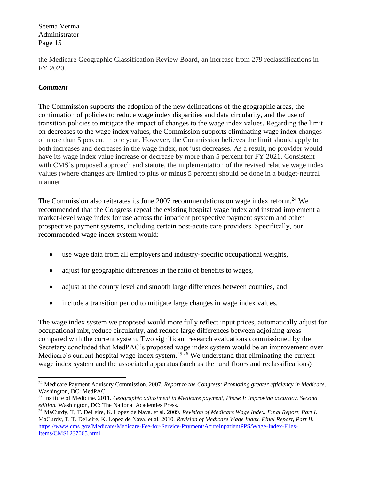the Medicare Geographic Classification Review Board, an increase from 279 reclassifications in FY 2020.

## *Comment*

The Commission supports the adoption of the new delineations of the geographic areas, the continuation of policies to reduce wage index disparities and data circularity, and the use of transition policies to mitigate the impact of changes to the wage index values. Regarding the limit on decreases to the wage index values, the Commission supports eliminating wage index changes of more than 5 percent in one year. However, the Commission believes the limit should apply to both increases and decreases in the wage index, not just decreases. As a result, no provider would have its wage index value increase or decrease by more than 5 percent for FY 2021. Consistent with CMS's proposed approach and statute, the implementation of the revised relative wage index values (where changes are limited to plus or minus 5 percent) should be done in a budget-neutral manner.

The Commission also reiterates its June 2007 recommendations on wage index reform.<sup>24</sup> We recommended that the Congress repeal the existing hospital wage index and instead implement a market-level wage index for use across the inpatient prospective payment system and other prospective payment systems, including certain post-acute care providers. Specifically, our recommended wage index system would:

- use wage data from all employers and industry-specific occupational weights,
- adjust for geographic differences in the ratio of benefits to wages,
- adjust at the county level and smooth large differences between counties, and
- include a transition period to mitigate large changes in wage index values.

The wage index system we proposed would more fully reflect input prices, automatically adjust for occupational mix, reduce circularity, and reduce large differences between adjoining areas compared with the current system. Two significant research evaluations commissioned by the Secretary concluded that MedPAC's proposed wage index system would be an improvement over Medicare's current hospital wage index system.<sup>25,26</sup> We understand that eliminating the current wage index system and the associated apparatus (such as the rural floors and reclassifications)

<sup>24</sup> Medicare Payment Advisory Commission. 2007. *Report to the Congress: Promoting greater efficiency in Medicare*. Washington, DC: MedPAC.

<sup>25</sup> Institute of Medicine. 2011. *Geographic adjustment in Medicare payment, Phase I: Improving accuracy. Second edition.* Washington, DC: The National Academies Press.

<sup>26</sup> MaCurdy, T, T. DeLeire, K. Lopez de Nava. et al. 2009. *Revision of Medicare Wage Index. Final Report, Part I*. MaCurdy, T, T. DeLeire, K. Lopez de Nava. et al. 2010. *Revision of Medicare Wage Index. Final Report, Part II*. [https://www.cms.gov/Medicare/Medicare-Fee-for-Service-Payment/AcuteInpatientPPS/Wage-Index-Files-](https://www.cms.gov/Medicare/Medicare-Fee-for-Service-Payment/AcuteInpatientPPS/Wage-Index-Files-Items/CMS1237065.html)[Items/CMS1237065.html.](https://www.cms.gov/Medicare/Medicare-Fee-for-Service-Payment/AcuteInpatientPPS/Wage-Index-Files-Items/CMS1237065.html)